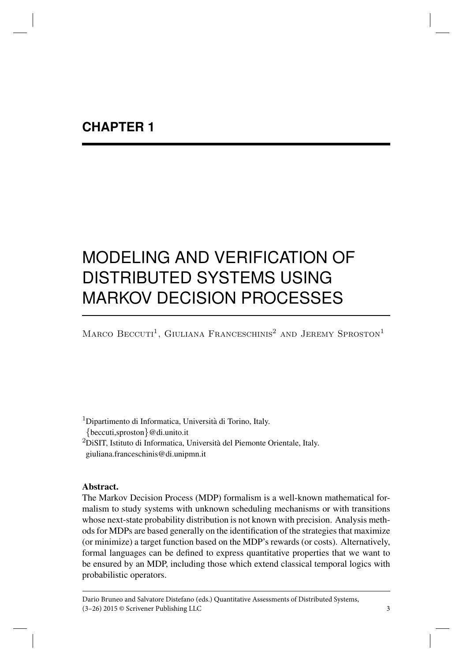## **CHAPTER 1**

# MODELING AND VERIFICATION OF DISTRIBUTED SYSTEMS USING MARKOV DECISION PROCESSES

MARCO BECCUTI<sup>1</sup>, GIULIANA FRANCESCHINIS<sup>2</sup> AND JEREMY SPROSTON<sup>1</sup>

 $1$ Dipartimento di Informatica, Università di Torino, Italy.

{beccuti,sproston}@di.unito.it

<sup>2</sup>DiSIT, Istituto di Informatica, Universita del Piemonte Orientale, Italy. `

giuliana.franceschinis@di.unipmn.it

#### Abstract.

The Markov Decision Process (MDP) formalism is a well-known mathematical formalism to study systems with unknown scheduling mechanisms or with transitions whose next-state probability distribution is not known with precision. Analysis methods for MDPs are based generally on the identification of the strategies that maximize (or minimize) a target function based on the MDP's rewards (or costs). Alternatively, formal languages can be defined to express quantitative properties that we want to be ensured by an MDP, including those which extend classical temporal logics with probabilistic operators.

Dario Bruneo and Salvatore Distefano (eds.) Quantitative Assessments of Distributed Systems, (3–26) 2015 © Scrivener Publishing LLC 3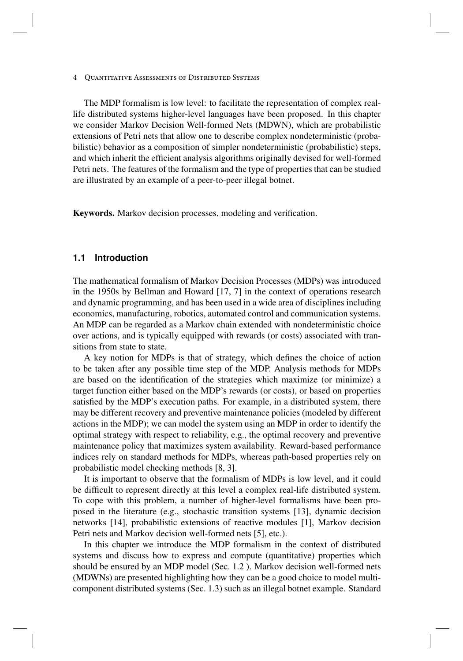4 Quantitative Assessments of Distributed Systems

The MDP formalism is low level: to facilitate the representation of complex reallife distributed systems higher-level languages have been proposed. In this chapter we consider Markov Decision Well-formed Nets (MDWN), which are probabilistic extensions of Petri nets that allow one to describe complex nondeterministic (probabilistic) behavior as a composition of simpler nondeterministic (probabilistic) steps, and which inherit the efficient analysis algorithms originally devised for well-formed Petri nets. The features of the formalism and the type of properties that can be studied are illustrated by an example of a peer-to-peer illegal botnet.

Keywords. Markov decision processes, modeling and verification.

#### **1.1 Introduction**

The mathematical formalism of Markov Decision Processes (MDPs) was introduced in the 1950s by Bellman and Howard [17, 7] in the context of operations research and dynamic programming, and has been used in a wide area of disciplines including economics, manufacturing, robotics, automated control and communication systems. An MDP can be regarded as a Markov chain extended with nondeterministic choice over actions, and is typically equipped with rewards (or costs) associated with transitions from state to state.

A key notion for MDPs is that of strategy, which defines the choice of action to be taken after any possible time step of the MDP. Analysis methods for MDPs are based on the identification of the strategies which maximize (or minimize) a target function either based on the MDP's rewards (or costs), or based on properties satisfied by the MDP's execution paths. For example, in a distributed system, there may be different recovery and preventive maintenance policies (modeled by different actions in the MDP); we can model the system using an MDP in order to identify the optimal strategy with respect to reliability, e.g., the optimal recovery and preventive maintenance policy that maximizes system availability. Reward-based performance indices rely on standard methods for MDPs, whereas path-based properties rely on probabilistic model checking methods [8, 3].

It is important to observe that the formalism of MDPs is low level, and it could be difficult to represent directly at this level a complex real-life distributed system. To cope with this problem, a number of higher-level formalisms have been proposed in the literature (e.g., stochastic transition systems [13], dynamic decision networks [14], probabilistic extensions of reactive modules [1], Markov decision Petri nets and Markov decision well-formed nets [5], etc.).

In this chapter we introduce the MDP formalism in the context of distributed systems and discuss how to express and compute (quantitative) properties which should be ensured by an MDP model (Sec. 1.2 ). Markov decision well-formed nets (MDWNs) are presented highlighting how they can be a good choice to model multicomponent distributed systems (Sec. 1.3) such as an illegal botnet example. Standard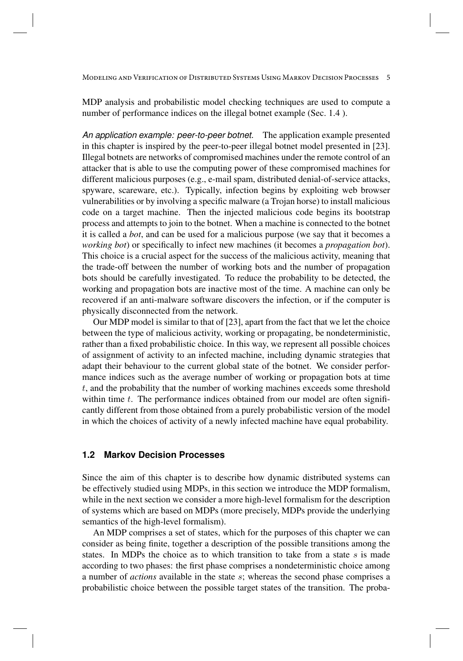MDP analysis and probabilistic model checking techniques are used to compute a number of performance indices on the illegal botnet example (Sec. 1.4 ).

*An application example: peer-to-peer botnet.* The application example presented in this chapter is inspired by the peer-to-peer illegal botnet model presented in [23]. Illegal botnets are networks of compromised machines under the remote control of an attacker that is able to use the computing power of these compromised machines for different malicious purposes (e.g., e-mail spam, distributed denial-of-service attacks, spyware, scareware, etc.). Typically, infection begins by exploiting web browser vulnerabilities or by involving a specific malware (a Trojan horse) to install malicious code on a target machine. Then the injected malicious code begins its bootstrap process and attempts to join to the botnet. When a machine is connected to the botnet it is called a *bot*, and can be used for a malicious purpose (we say that it becomes a *working bot*) or specifically to infect new machines (it becomes a *propagation bot*). This choice is a crucial aspect for the success of the malicious activity, meaning that the trade-off between the number of working bots and the number of propagation bots should be carefully investigated. To reduce the probability to be detected, the working and propagation bots are inactive most of the time. A machine can only be recovered if an anti-malware software discovers the infection, or if the computer is physically disconnected from the network.

Our MDP model is similar to that of [23], apart from the fact that we let the choice between the type of malicious activity, working or propagating, be nondeterministic, rather than a fixed probabilistic choice. In this way, we represent all possible choices of assignment of activity to an infected machine, including dynamic strategies that adapt their behaviour to the current global state of the botnet. We consider performance indices such as the average number of working or propagation bots at time t, and the probability that the number of working machines exceeds some threshold within time  $t$ . The performance indices obtained from our model are often significantly different from those obtained from a purely probabilistic version of the model in which the choices of activity of a newly infected machine have equal probability.

### **1.2 Markov Decision Processes**

Since the aim of this chapter is to describe how dynamic distributed systems can be effectively studied using MDPs, in this section we introduce the MDP formalism, while in the next section we consider a more high-level formalism for the description of systems which are based on MDPs (more precisely, MDPs provide the underlying semantics of the high-level formalism).

An MDP comprises a set of states, which for the purposes of this chapter we can consider as being finite, together a description of the possible transitions among the states. In MDPs the choice as to which transition to take from a state  $s$  is made according to two phases: the first phase comprises a nondeterministic choice among a number of *actions* available in the state s; whereas the second phase comprises a probabilistic choice between the possible target states of the transition. The proba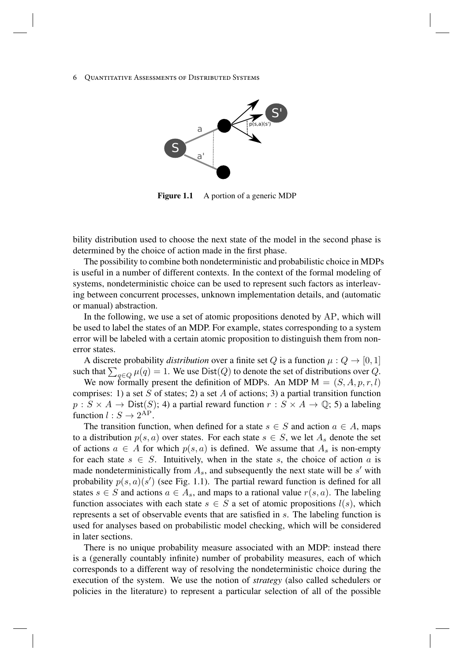6 Quantitative Assessments of Distributed Systems



Figure 1.1 A portion of a generic MDP

bility distribution used to choose the next state of the model in the second phase is determined by the choice of action made in the first phase.

The possibility to combine both nondeterministic and probabilistic choice in MDPs is useful in a number of different contexts. In the context of the formal modeling of systems, nondeterministic choice can be used to represent such factors as interleaving between concurrent processes, unknown implementation details, and (automatic or manual) abstraction.

In the following, we use a set of atomic propositions denoted by AP, which will be used to label the states of an MDP. For example, states corresponding to a system error will be labeled with a certain atomic proposition to distinguish them from nonerror states.

A discrete probability *distribution* over a finite set Q is a function  $\mu$  :  $Q \rightarrow [0, 1]$ such that  $\sum_{q \in Q} \mu(q) = 1$ . We use  $Dist(Q)$  to denote the set of distributions over Q.<br>We now formally present the definition of MDPs. An MDP M – (S 4 n x l)

We now formally present the definition of MDPs. An MDP  $M = (S, A, p, r, l)$ comprises: 1) a set S of states; 2) a set A of actions; 3) a partial transition function  $p : S \times A \rightarrow Dist(S); 4$  a partial reward function  $r : S \times A \rightarrow \mathbb{Q}; 5$  a labeling function  $l : S \to 2^{\overrightarrow{AP}}$ .

The transition function, when defined for a state  $s \in S$  and action  $a \in A$ , maps to a distribution  $p(s, a)$  over states. For each state  $s \in S$ , we let  $A_s$  denote the set of actions  $a \in A$  for which  $p(s, a)$  is defined. We assume that  $A_s$  is non-empty for each state  $s \in S$ . Intuitively, when in the state s, the choice of action a is made nondeterministically from  $A_s$ , and subsequently the next state will be s' with probability  $p(s, a)(s')$  (see Fig. 1.1). The partial reward function is defined for all states s 
ightarrow S and actions  $a \in A_s$ , and maps to a rational value  $r(s, a)$ . The labeling function associates with each state  $s \in S$  a set of atomic propositions  $l(s)$ , which represents a set of observable events that are satisfied in s. The labeling function is used for analyses based on probabilistic model checking, which will be considered in later sections.

There is no unique probability measure associated with an MDP: instead there is a (generally countably infinite) number of probability measures, each of which corresponds to a different way of resolving the nondeterministic choice during the execution of the system. We use the notion of *strategy* (also called schedulers or policies in the literature) to represent a particular selection of all of the possible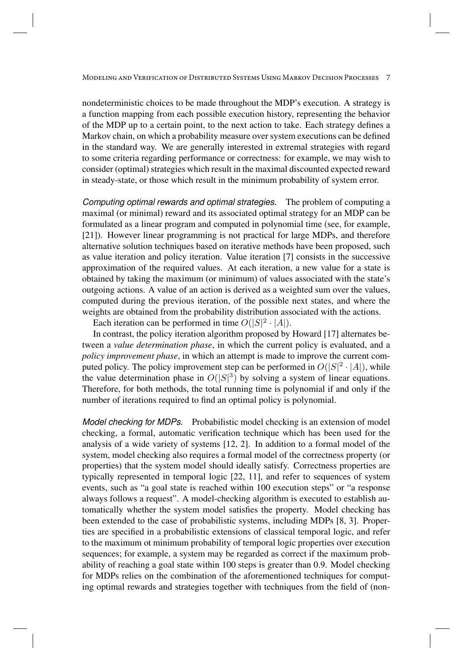nondeterministic choices to be made throughout the MDP's execution. A strategy is a function mapping from each possible execution history, representing the behavior of the MDP up to a certain point, to the next action to take. Each strategy defines a Markov chain, on which a probability measure over system executions can be defined in the standard way. We are generally interested in extremal strategies with regard to some criteria regarding performance or correctness: for example, we may wish to consider (optimal) strategies which result in the maximal discounted expected reward in steady-state, or those which result in the minimum probability of system error.

*Computing optimal rewards and optimal strategies.* The problem of computing a maximal (or minimal) reward and its associated optimal strategy for an MDP can be formulated as a linear program and computed in polynomial time (see, for example, [21]). However linear programming is not practical for large MDPs, and therefore alternative solution techniques based on iterative methods have been proposed, such as value iteration and policy iteration. Value iteration [7] consists in the successive approximation of the required values. At each iteration, a new value for a state is obtained by taking the maximum (or minimum) of values associated with the state's outgoing actions. A value of an action is derived as a weighted sum over the values, computed during the previous iteration, of the possible next states, and where the weights are obtained from the probability distribution associated with the actions.

Each iteration can be performed in time  $O(|S|^2 \cdot |A|)$ .

In contrast, the policy iteration algorithm proposed by Howard [17] alternates between a *value determination phase*, in which the current policy is evaluated, and a *policy improvement phase*, in which an attempt is made to improve the current computed policy. The policy improvement step can be performed in  $O(|S|^2 \cdot |A|)$ , while the value determination phase in  $O(|S|^3)$  by solving a system of linear equations. Therefore, for both methods, the total running time is polynomial if and only if the number of iterations required to find an optimal policy is polynomial.

*Model checking for MDPs.* Probabilistic model checking is an extension of model checking, a formal, automatic verification technique which has been used for the analysis of a wide variety of systems [12, 2]. In addition to a formal model of the system, model checking also requires a formal model of the correctness property (or properties) that the system model should ideally satisfy. Correctness properties are typically represented in temporal logic [22, 11], and refer to sequences of system events, such as "a goal state is reached within 100 execution steps" or "a response always follows a request". A model-checking algorithm is executed to establish automatically whether the system model satisfies the property. Model checking has been extended to the case of probabilistic systems, including MDPs [8, 3]. Properties are specified in a probabilistic extensions of classical temporal logic, and refer to the maximum ot minimum probability of temporal logic properties over execution sequences; for example, a system may be regarded as correct if the maximum probability of reaching a goal state within 100 steps is greater than 0.9. Model checking for MDPs relies on the combination of the aforementioned techniques for computing optimal rewards and strategies together with techniques from the field of (non-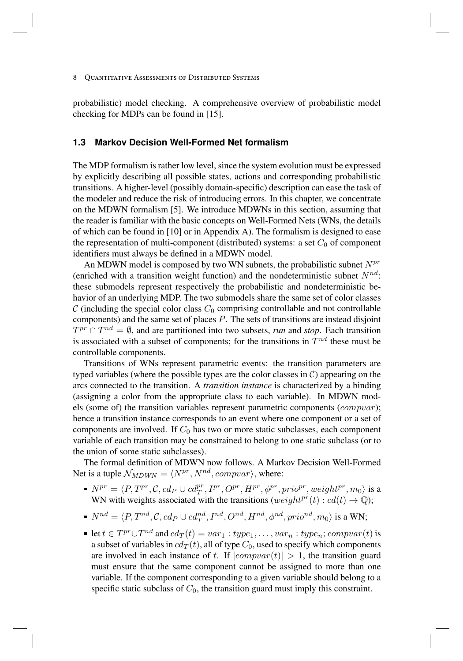probabilistic) model checking. A comprehensive overview of probabilistic model checking for MDPs can be found in [15].

#### **1.3 Markov Decision Well-Formed Net formalism**

The MDP formalism is rather low level, since the system evolution must be expressed by explicitly describing all possible states, actions and corresponding probabilistic transitions. A higher-level (possibly domain-specific) description can ease the task of the modeler and reduce the risk of introducing errors. In this chapter, we concentrate on the MDWN formalism [5]. We introduce MDWNs in this section, assuming that the reader is familiar with the basic concepts on Well-Formed Nets (WNs, the details of which can be found in  $[10]$  or in Appendix A). The formalism is designed to ease the representation of multi-component (distributed) systems: a set  $C_0$  of component identifiers must always be defined in a MDWN model.

An MDWN model is composed by two WN subnets, the probabilistic subnet  $N^{pr}$ (enriched with a transition weight function) and the nondeterministic subnet  $N^{nd}$ : these submodels represent respectively the probabilistic and nondeterministic behavior of an underlying MDP. The two submodels share the same set of color classes  $\mathcal C$  (including the special color class  $C_0$  comprising controllable and not controllable components) and the same set of places P. The sets of transitions are instead disjoint  $T^{pr} \cap T^{nd} = \emptyset$ , and are partitioned into two subsets, *run* and *stop*. Each transition is associated with a subset of components; for the transitions in  $T^{nd}$  these must be controllable components.

Transitions of WNs represent parametric events: the transition parameters are typed variables (where the possible types are the color classes in  $\mathcal{C}$ ) appearing on the arcs connected to the transition. A *transition instance* is characterized by a binding (assigning a color from the appropriate class to each variable). In MDWN models (some of) the transition variables represent parametric components (compvar); hence a transition instance corresponds to an event where one component or a set of components are involved. If  $C_0$  has two or more static subclasses, each component variable of each transition may be constrained to belong to one static subclass (or to the union of some static subclasses).

The formal definition of MDWN now follows. A Markov Decision Well-Formed Net is a tuple  $\mathcal{N}_{MDWN} = \langle N^{pr}, N^{nd}, company \rangle$ , where:

- $N^{pr} = \langle P, T^{pr}, C, cd_P \cup cd_T^{pr}, I^{pr}, O^{pr}, H^{pr}, \phi^{pr}, prio^{pr}, weight^{pr}, m_0 \rangle$  is a WN with weights associated with the transitions ( $weight^{pr}(t) : cd(t) \rightarrow \mathbb{Q}$ );
- $N^{nd} = \langle P, T^{nd}, \mathcal{C}, cd_P \cup cd_T^{nd}, I^{nd}, O^{nd}, H^{nd}, \phi^{nd}, pri^{nd}, m_0 \rangle$  is a WN;
- **let**  $t \in T^{pr} \cup T^{nd}$  and  $cd_T(t) = var_1 : type_1, \ldots, var_n : type_n; compvar(t)$  is a subset of variables in  $cd_T(t)$ , all of type  $C_0$ , used to specify which components are involved in each instance of t. If  $|compar(t)| > 1$ , the transition guard must ensure that the same component cannot be assigned to more than one variable. If the component corresponding to a given variable should belong to a specific static subclass of  $C_0$ , the transition guard must imply this constraint.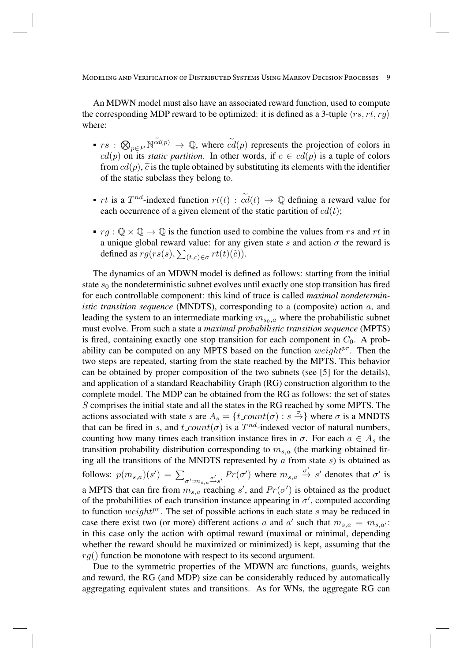An MDWN model must also have an associated reward function, used to compute the corresponding MDP reward to be optimized: it is defined as a 3-tuple  $\langle rs, rt, ra \rangle$ where:

- $rs : \bigotimes_{p \in P} \mathbb{N}^{\tilde{cd}(p)} \to \mathbb{Q}$ , where  $\tilde{cd}(p)$  represents the projection of colors in  $cd(p)$  on its *static partition*. In other words, if  $c \in cd(p)$  is a tuple of colors from  $cd(p)$ ,  $\tilde{c}$  is the tuple obtained by substituting its elements with the identifier of the static subclass they belong to.
- rt is a  $T^{nd}$ -indexed function  $rt(t)$ :  $\widetilde{cd}(t) \rightarrow \mathbb{O}$  defining a reward value for each occurrence of a given element of the static partition of  $cd(t)$ ;
- $rq : \mathbb{Q} \times \mathbb{Q} \rightarrow \mathbb{Q}$  is the function used to combine the values from rs and rt in a unique global reward value: for any given state s and action  $\sigma$  the reward is defined as  $rg(rs(s), \sum_{(t,c)\in\sigma} rt(t)(\tilde{c}))$ .

The dynamics of an MDWN model is defined as follows: starting from the initial state  $s_0$  the nondeterministic subnet evolves until exactly one stop transition has fired for each controllable component: this kind of trace is called *maximal nondeterministic transition sequence* (MNDTS), corresponding to a (composite) action a, and leading the system to an intermediate marking  $m_{s_0,a}$  where the probabilistic subnet must evolve. From such a state a *maximal probabilistic transition sequence* (MPTS) is fired, containing exactly one stop transition for each component in  $C_0$ . A probability can be computed on any MPTS based on the function  $weight^{pr}$ . Then the two steps are repeated, starting from the state reached by the MPTS. This behavior can be obtained by proper composition of the two subnets (see [5] for the details), and application of a standard Reachability Graph (RG) construction algorithm to the complete model. The MDP can be obtained from the RG as follows: the set of states S comprises the initial state and all the states in the RG reached by some MPTS. The actions associated with state s are  $A_s = \{t\_{count}(\sigma) : s \stackrel{\sigma}{\rightarrow} \}$  where  $\sigma$  is a MNDTS that can be fired in s, and  $t_{count}(\sigma)$  is a  $T^{nd}$ -indexed vector of natural numbers, counting how many times each transition instance fires in  $\sigma$ . For each  $a \in A_s$  the transition probability distribution corresponding to  $m_{s,a}$  (the marking obtained firing all the transitions of the MNDTS represented by  $\alpha$  from state  $s$ ) is obtained as follows:  $p(m_{s,a})(s') = \sum_{\sigma': m_{s,a} \stackrel{\sigma'}{\rightarrow} s'} Pr(\sigma')$  where  $m_{s,a} \stackrel{\sigma'}{\rightarrow} s'$  denotes that  $\sigma'$  is a MPTS that can fire from  $m_{s,a}$  reaching s', and  $Pr(\sigma')$  is obtained as the product of the probabilities of each transition instance appearing in  $\sigma'$ , computed according to function  $weight^{pr}$ . The set of possible actions in each state s may be reduced in case there exist two (or more) different actions a and a' such that  $m_{s,a} = m_{s,a'}$ : in this case only the action with optimal reward (maximal or minimal, depending whether the reward should be maximized or minimized) is kept, assuming that the  $rg()$  function be monotone with respect to its second argument.

Due to the symmetric properties of the MDWN arc functions, guards, weights and reward, the RG (and MDP) size can be considerably reduced by automatically aggregating equivalent states and transitions. As for WNs, the aggregate RG can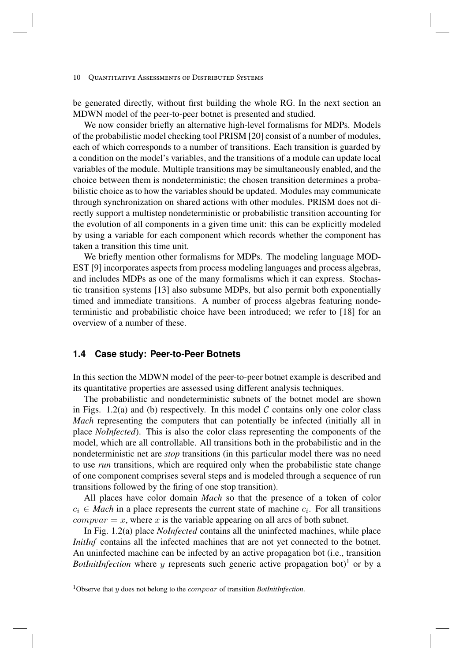be generated directly, without first building the whole RG. In the next section an MDWN model of the peer-to-peer botnet is presented and studied.

We now consider briefly an alternative high-level formalisms for MDPs. Models of the probabilistic model checking tool PRISM [20] consist of a number of modules, each of which corresponds to a number of transitions. Each transition is guarded by a condition on the model's variables, and the transitions of a module can update local variables of the module. Multiple transitions may be simultaneously enabled, and the choice between them is nondeterministic; the chosen transition determines a probabilistic choice as to how the variables should be updated. Modules may communicate through synchronization on shared actions with other modules. PRISM does not directly support a multistep nondeterministic or probabilistic transition accounting for the evolution of all components in a given time unit: this can be explicitly modeled by using a variable for each component which records whether the component has taken a transition this time unit.

We briefly mention other formalisms for MDPs. The modeling language MOD-EST [9] incorporates aspects from process modeling languages and process algebras, and includes MDPs as one of the many formalisms which it can express. Stochastic transition systems [13] also subsume MDPs, but also permit both exponentially timed and immediate transitions. A number of process algebras featuring nondeterministic and probabilistic choice have been introduced; we refer to [18] for an overview of a number of these.

#### **1.4 Case study: Peer-to-Peer Botnets**

In this section the MDWN model of the peer-to-peer botnet example is described and its quantitative properties are assessed using different analysis techniques.

The probabilistic and nondeterministic subnets of the botnet model are shown in Figs. 1.2(a) and (b) respectively. In this model  $\mathcal C$  contains only one color class *Mach* representing the computers that can potentially be infected (initially all in place *NoInfected*). This is also the color class representing the components of the model, which are all controllable. All transitions both in the probabilistic and in the nondeterministic net are *stop* transitions (in this particular model there was no need to use *run* transitions, which are required only when the probabilistic state change of one component comprises several steps and is modeled through a sequence of run transitions followed by the firing of one stop transition).

All places have color domain *Mach* so that the presence of a token of color  $c_i \in \text{Mach}$  in a place represents the current state of machine  $c_i$ . For all transitions  $compara = x$ , where x is the variable appearing on all arcs of both subnet.

In Fig. 1.2(a) place *NoInfected* contains all the uninfected machines, while place *InitInf* contains all the infected machines that are not yet connected to the botnet. An uninfected machine can be infected by an active propagation bot (i.e., transition *BotInitInfection* where y represents such generic active propagation bot)<sup>1</sup> or by a

<sup>1</sup>Observe that y does not belong to the compvar of transition *BotInitInfection*.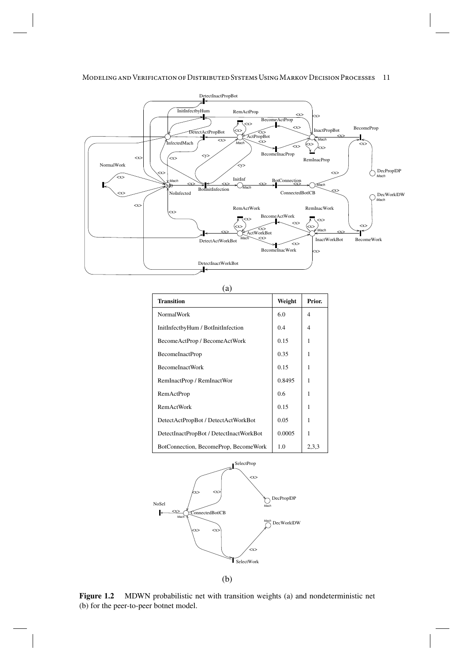

| (a)                                     |        |        |
|-----------------------------------------|--------|--------|
| <b>Transition</b>                       | Weight | Prior. |
| NormalWork                              | 6.0    | 4      |
| InitInfectbyHum / BotInitInfection      | 0.4    | 4      |
| BecomeActProp / BecomeActWork           | 0.15   | 1      |
| <b>BecomeInactProp</b>                  | 0.35   | 1      |
| <b>BecomeInactWork</b>                  | 0.15   | 1      |
| RemInactProp / RemInactWor              | 0.8495 | 1      |
| RemActProp                              | 0.6    | 1      |
| <b>RemActWork</b>                       | 0.15   |        |
| DetectActPropBot / DetectActWorkBot     | 0.05   |        |
| DetectInactPropBot / DetectInactWorkBot | 0.0005 |        |
| BotConnection, BecomeProp, BecomeWork   | 1.0    | 2.3.3  |



(b)

Figure 1.2 MDWN probabilistic net with transition weights (a) and nondeterministic net (b) for the peer-to-peer botnet model.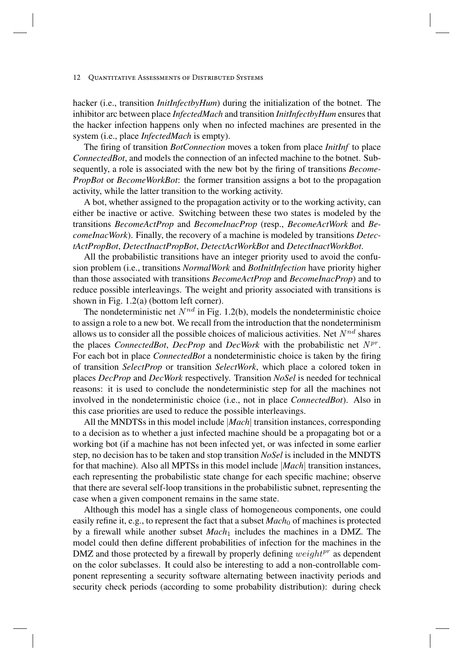hacker (i.e., transition *InitInfectbyHum*) during the initialization of the botnet. The inhibitor arc between place *InfectedMach* and transition *InitInfectbyHum* ensures that the hacker infection happens only when no infected machines are presented in the system (i.e., place *InfectedMach* is empty).

The firing of transition *BotConnection* moves a token from place *InitInf* to place *ConnectedBot*, and models the connection of an infected machine to the botnet. Subsequently, a role is associated with the new bot by the firing of transitions *Become-PropBot* or *BecomeWorkBot*: the former transition assigns a bot to the propagation activity, while the latter transition to the working activity.

A bot, whether assigned to the propagation activity or to the working activity, can either be inactive or active. Switching between these two states is modeled by the transitions *BecomeActProp* and *BecomeInacProp* (resp., *BecomeActWork* and *BecomeInacWork*). Finally, the recovery of a machine is modeled by transitions *DetectActPropBot*, *DetectInactPropBot*, *DetectActWorkBot* and *DetectInactWorkBot*.

All the probabilistic transitions have an integer priority used to avoid the confusion problem (i.e., transitions *NormalWork* and *BotInitInfection* have priority higher than those associated with transitions *BecomeActProp* and *BecomeInacProp*) and to reduce possible interleavings. The weight and priority associated with transitions is shown in Fig. 1.2(a) (bottom left corner).

The nondeterministic net  $N^{nd}$  in Fig. 1.2(b), models the nondeterministic choice to assign a role to a new bot. We recall from the introduction that the nondeterminism allows us to consider all the possible choices of malicious activities. Net  $N^{nd}$  shares the places *ConnectedBot*, *DecProp* and *DecWork* with the probabilistic net  $N^{pr}$ . For each bot in place *ConnectedBot* a nondeterministic choice is taken by the firing of transition *SelectProp* or transition *SelectWork*, which place a colored token in places *DecProp* and *DecWork* respectively. Transition *NoSel* is needed for technical reasons: it is used to conclude the nondeterministic step for all the machines not involved in the nondeterministic choice (i.e., not in place *ConnectedBot*). Also in this case priorities are used to reduce the possible interleavings.

All the MNDTSs in this model include |*Mach*| transition instances, corresponding to a decision as to whether a just infected machine should be a propagating bot or a working bot (if a machine has not been infected yet, or was infected in some earlier step, no decision has to be taken and stop transition *NoSel* is included in the MNDTS for that machine). Also all MPTSs in this model include |*Mach*| transition instances, each representing the probabilistic state change for each specific machine; observe that there are several self-loop transitions in the probabilistic subnet, representing the case when a given component remains in the same state.

Although this model has a single class of homogeneous components, one could easily refine it, e.g., to represent the fact that a subset *Mach*<sub>0</sub> of machines is protected by a firewall while another subset *Mach*<sup>1</sup> includes the machines in a DMZ. The model could then define different probabilities of infection for the machines in the DMZ and those protected by a firewall by properly defining  $weight^{pr}$  as dependent on the color subclasses. It could also be interesting to add a non-controllable component representing a security software alternating between inactivity periods and security check periods (according to some probability distribution): during check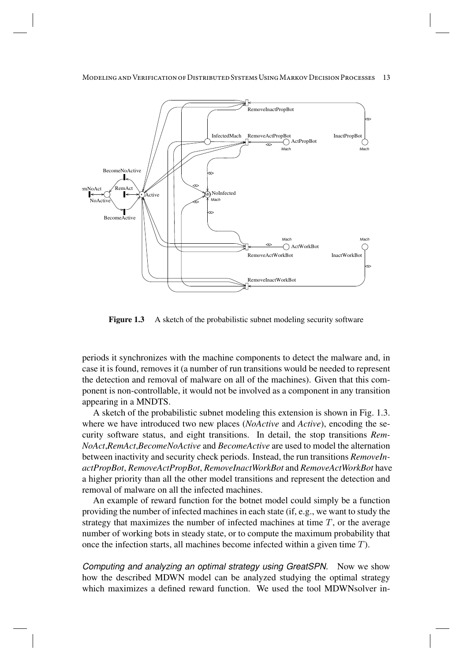

Figure 1.3 A sketch of the probabilistic subnet modeling security software

periods it synchronizes with the machine components to detect the malware and, in case it is found, removes it (a number of run transitions would be needed to represent the detection and removal of malware on all of the machines). Given that this component is non-controllable, it would not be involved as a component in any transition appearing in a MNDTS.

A sketch of the probabilistic subnet modeling this extension is shown in Fig. 1.3. where we have introduced two new places (*NoActive* and *Active*), encoding the security software status, and eight transitions. In detail, the stop transitions *Rem-NoAct*,*RemAct*,*BecomeNoActive* and *BecomeActive* are used to model the alternation between inactivity and security check periods. Instead, the run transitions *RemoveInactPropBot*, *RemoveActPropBot*, *RemoveInactWorkBot* and *RemoveActWorkBot* have a higher priority than all the other model transitions and represent the detection and removal of malware on all the infected machines.

An example of reward function for the botnet model could simply be a function providing the number of infected machines in each state (if, e.g., we want to study the strategy that maximizes the number of infected machines at time  $T$ , or the average number of working bots in steady state, or to compute the maximum probability that once the infection starts, all machines become infected within a given time T).

*Computing and analyzing an optimal strategy using GreatSPN.* Now we show how the described MDWN model can be analyzed studying the optimal strategy which maximizes a defined reward function. We used the tool MDWNsolver in-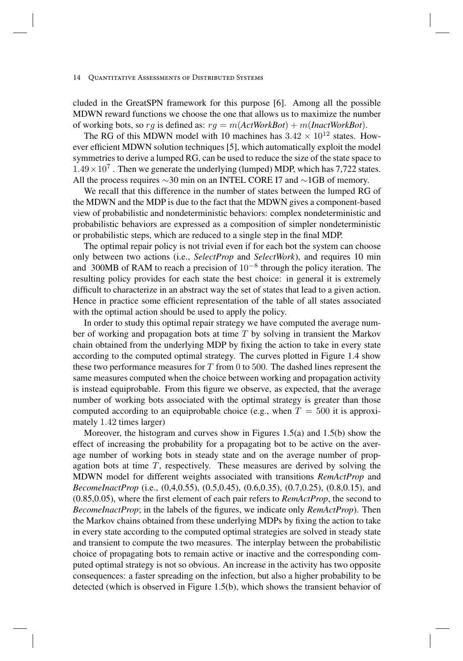cluded in the GreatSPN framework for this purpose [6]. Among all the possible MDWN reward functions we choose the one that allows us to maximize the number of working bots, so rg is defined as: rg = m(*ActWorkBot*) + m(*InactWorkBot*).

The RG of this MDWN model with 10 machines has  $3.42 \times 10^{12}$  states. However efficient MDWN solution techniques [5], which automatically exploit the model symmetries to derive a lumped RG, can be used to reduce the size of the state space to  $1.49 \times 10^7$ . Then we generate the underlying (lumped) MDP, which has 7,722 states. All the process requires  $\sim$ 30 min on an INTEL CORE I7 and  $\sim$ 1GB of memory.

We recall that this difference in the number of states between the lumped RG of the MDWN and the MDP is due to the fact that the MDWN gives a component-based view of probabilistic and nondeterministic behaviors: complex nondeterministic and probabilistic behaviors are expressed as a composition of simpler nondeterministic or probabilistic steps, which are reduced to a single step in the final MDP.

The optimal repair policy is not trivial even if for each bot the system can choose only between two actions (i.e., *SelectProp* and *SelectWork*), and requires 10 min and 300MB of RAM to reach a precision of  $10^{-8}$  through the policy iteration. The resulting policy provides for each state the best choice: in general it is extremely difficult to characterize in an abstract way the set of states that lead to a given action. Hence in practice some efficient representation of the table of all states associated with the optimal action should be used to apply the policy.

In order to study this optimal repair strategy we have computed the average number of working and propagation bots at time T by solving in transient the Markov chain obtained from the underlying MDP by fixing the action to take in every state according to the computed optimal strategy. The curves plotted in Figure 1.4 show these two performance measures for  $T$  from 0 to 500. The dashed lines represent the same measures computed when the choice between working and propagation activity is instead equiprobable. From this figure we observe, as expected, that the average number of working bots associated with the optimal strategy is greater than those computed according to an equiprobable choice (e.g., when  $T = 500$  it is approximately 1.42 times larger)

Moreover, the histogram and curves show in Figures 1.5(a) and 1.5(b) show the effect of increasing the probability for a propagating bot to be active on the average number of working bots in steady state and on the average number of propagation bots at time  $T$ , respectively. These measures are derived by solving the MDWN model for different weights associated with transitions *RemActProp* and *BecomeInactProp* (i.e., (0,4,0.55), (0.5,0.45), (0.6,0.35), (0.7,0.25), (0.8,0.15), and (0.85,0.05), where the first element of each pair refers to *RemActProp*, the second to *BecomeInactProp*; in the labels of the figures, we indicate only *RemActProp*). Then the Markov chains obtained from these underlying MDPs by fixing the action to take in every state according to the computed optimal strategies are solved in steady state and transient to compute the two measures. The interplay between the probabilistic choice of propagating bots to remain active or inactive and the corresponding computed optimal strategy is not so obvious. An increase in the activity has two opposite consequences: a faster spreading on the infection, but also a higher probability to be detected (which is observed in Figure 1.5(b), which shows the transient behavior of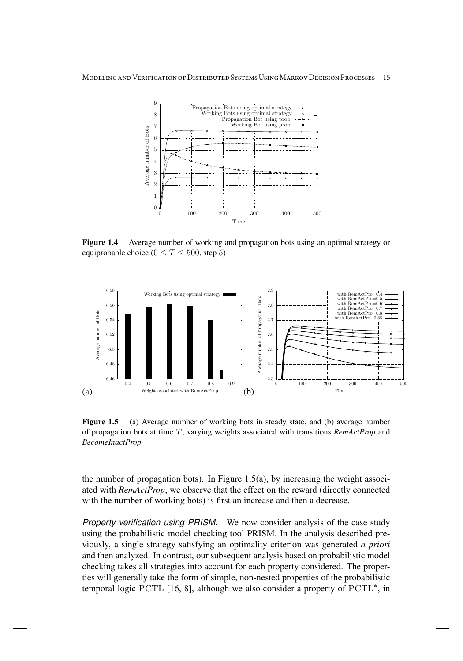

Figure 1.4 Average number of working and propagation bots using an optimal strategy or equiprobable choice ( $0 \le T \le 500$ , step 5)



Figure 1.5 (a) Average number of working bots in steady state, and (b) average number of propagation bots at time T, varying weights associated with transitions *RemActProp* and *BecomeInactProp*

the number of propagation bots). In Figure  $1.5(a)$ , by increasing the weight associated with *RemActProp*, we observe that the effect on the reward (directly connected with the number of working bots) is first an increase and then a decrease.

*Property verification using PRISM.* We now consider analysis of the case study using the probabilistic model checking tool PRISM. In the analysis described previously, a single strategy satisfying an optimality criterion was generated *a priori* and then analyzed. In contrast, our subsequent analysis based on probabilistic model checking takes all strategies into account for each property considered. The properties will generally take the form of simple, non-nested properties of the probabilistic temporal logic PCTL [16, 8], although we also consider a property of  $PCTL^*$ , in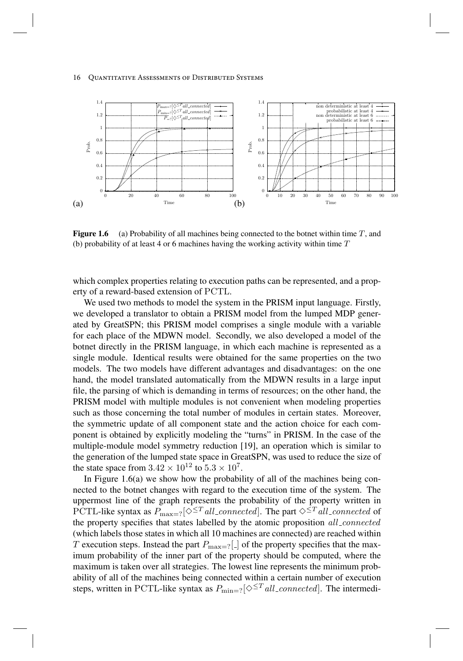#### 16 Quantitative Assessments of Distributed Systems



**Figure 1.6** (a) Probability of all machines being connected to the botnet within time  $T$ , and (b) probability of at least 4 or 6 machines having the working activity within time  $T$ 

which complex properties relating to execution paths can be represented, and a property of a reward-based extension of PCTL.

We used two methods to model the system in the PRISM input language. Firstly, we developed a translator to obtain a PRISM model from the lumped MDP generated by GreatSPN; this PRISM model comprises a single module with a variable for each place of the MDWN model. Secondly, we also developed a model of the botnet directly in the PRISM language, in which each machine is represented as a single module. Identical results were obtained for the same properties on the two models. The two models have different advantages and disadvantages: on the one hand, the model translated automatically from the MDWN results in a large input file, the parsing of which is demanding in terms of resources; on the other hand, the PRISM model with multiple modules is not convenient when modeling properties such as those concerning the total number of modules in certain states. Moreover, the symmetric update of all component state and the action choice for each component is obtained by explicitly modeling the "turns" in PRISM. In the case of the multiple-module model symmetry reduction [19], an operation which is similar to the generation of the lumped state space in GreatSPN, was used to reduce the size of the state space from  $3.42 \times 10^{12}$  to  $5.3 \times 10^{7}$ .

In Figure 1.6(a) we show how the probability of all of the machines being connected to the botnet changes with regard to the execution time of the system. The uppermost line of the graph represents the probability of the property written in PCTL-like syntax as  $P_{\text{max}=?}[\diamondsuit^{\leq T}$  all connected]. The part  $\diamondsuit^{\leq T}$  all connected of the property specifies that states labelled by the atomic proposition all\_connected (which labels those states in which all 10 machines are connected) are reached within T execution steps. Instead the part  $P_{\text{max}=?}$ [.] of the property specifies that the maximum probability of the inner part of the property should be computed, where the maximum is taken over all strategies. The lowest line represents the minimum probability of all of the machines being connected within a certain number of execution steps, written in PCTL-like syntax as  $P_{\text{min}=?}[\diamondsuit^{\leq T}$  all connected. The intermedi-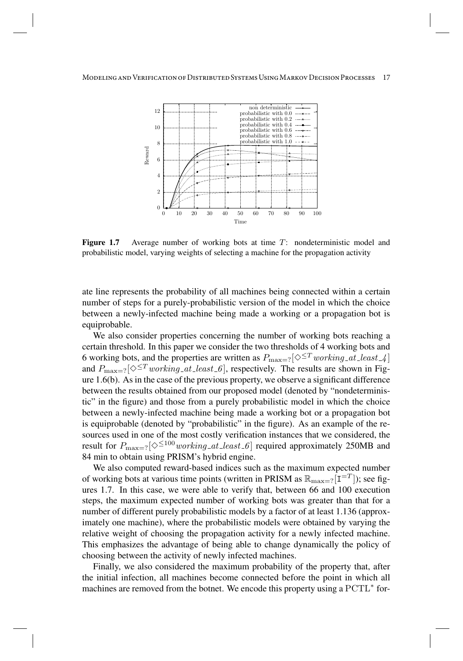

Figure 1.7 Average number of working bots at time T: nondeterministic model and probabilistic model, varying weights of selecting a machine for the propagation activity

ate line represents the probability of all machines being connected within a certain number of steps for a purely-probabilistic version of the model in which the choice between a newly-infected machine being made a working or a propagation bot is equiprobable.

We also consider properties concerning the number of working bots reaching a certain threshold. In this paper we consider the two thresholds of 4 working bots and 6 working bots, and the properties are written as  $P_{\text{max}=?}[\Diamond^{\leq T}$  working at least 4 and  $P_{\text{max}=?}[\diamond^{\leq T}$  working at least 6, respectively. The results are shown in Figure 1.6(b). As in the case of the previous property, we observe a significant difference between the results obtained from our proposed model (denoted by "nondeterministic" in the figure) and those from a purely probabilistic model in which the choice between a newly-infected machine being made a working bot or a propagation bot is equiprobable (denoted by "probabilistic" in the figure). As an example of the resources used in one of the most costly verification instances that we considered, the result for  $P_{\text{max}=?}[\diamondsuit^{\leq 100}$  working \_at \_least\_6 ] required approximately 250MB and 84 min to obtain using PRISM's hybrid engine.

We also computed reward-based indices such as the maximum expected number of working bots at various time points (written in PRISM as  $\mathbb{R}_{\max=?}[I^{T}]$ ); see figures 1.7. In this case, we were able to verify that, between 66 and 100 execution steps, the maximum expected number of working bots was greater than that for a number of different purely probabilistic models by a factor of at least 1.136 (approximately one machine), where the probabilistic models were obtained by varying the relative weight of choosing the propagation activity for a newly infected machine. This emphasizes the advantage of being able to change dynamically the policy of choosing between the activity of newly infected machines.

Finally, we also considered the maximum probability of the property that, after the initial infection, all machines become connected before the point in which all machines are removed from the botnet. We encode this property using a PCTL<sup>\*</sup> for-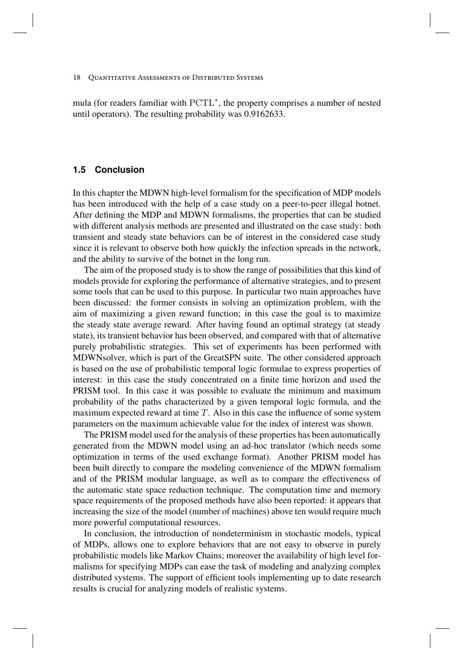mula (for readers familiar with PCTL∗, the property comprises a number of nested until operators). The resulting probability was 0.9162633.

#### **1.5 Conclusion**

In this chapter the MDWN high-level formalism for the specification of MDP models has been introduced with the help of a case study on a peer-to-peer illegal botnet. After defining the MDP and MDWN formalisms, the properties that can be studied with different analysis methods are presented and illustrated on the case study: both transient and steady state behaviors can be of interest in the considered case study since it is relevant to observe both how quickly the infection spreads in the network, and the ability to survive of the botnet in the long run.

The aim of the proposed study is to show the range of possibilities that this kind of models provide for exploring the performance of alternative strategies, and to present some tools that can be used to this purpose. In particular two main approaches have been discussed: the former consists in solving an optimization problem, with the aim of maximizing a given reward function; in this case the goal is to maximize the steady state average reward. After having found an optimal strategy (at steady state), its transient behavior has been observed, and compared with that of alternative purely probabilistic strategies. This set of experiments has been performed with MDWNsolver, which is part of the GreatSPN suite. The other considered approach is based on the use of probabilistic temporal logic formulae to express properties of interest: in this case the study concentrated on a finite time horizon and used the PRISM tool. In this case it was possible to evaluate the minimum and maximum probability of the paths characterized by a given temporal logic formula, and the maximum expected reward at time  $T$ . Also in this case the influence of some system parameters on the maximum achievable value for the index of interest was shown.

The PRISM model used for the analysis of these properties has been automatically generated from the MDWN model using an ad-hoc translator (which needs some optimization in terms of the used exchange format). Another PRISM model has been built directly to compare the modeling convenience of the MDWN formalism and of the PRISM modular language, as well as to compare the effectiveness of the automatic state space reduction technique. The computation time and memory space requirements of the proposed methods have also been reported: it appears that increasing the size of the model (number of machines) above ten would require much more powerful computational resources.

In conclusion, the introduction of nondeterminism in stochastic models, typical of MDPs, allows one to explore behaviors that are not easy to observe in purely probabilistic models like Markov Chains; moreover the availability of high level formalisms for specifying MDPs can ease the task of modeling and analyzing complex distributed systems. The support of efficient tools implementing up to date research results is crucial for analyzing models of realistic systems.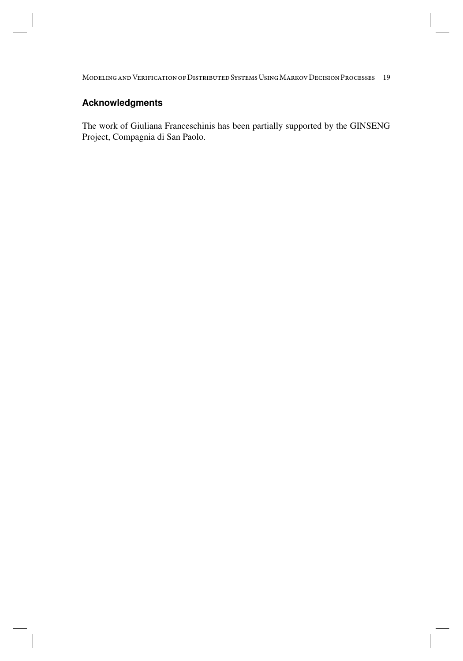## **Acknowledgments**

The work of Giuliana Franceschinis has been partially supported by the GINSENG Project, Compagnia di San Paolo.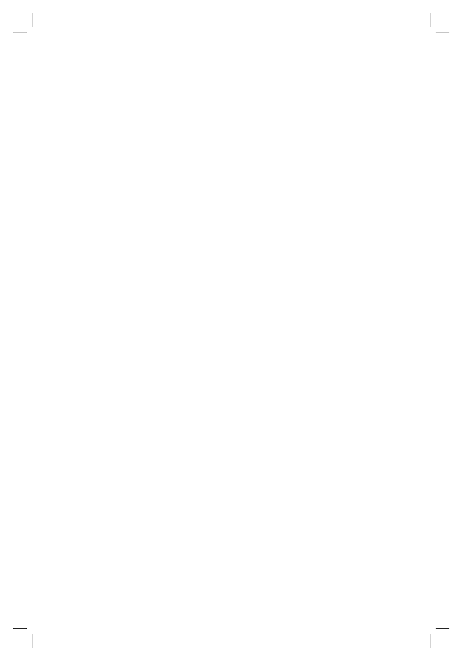$\begin{array}{c} \begin{array}{c} \end{array} \end{array}$  $\mathcal{L}_{\mathcal{A}}$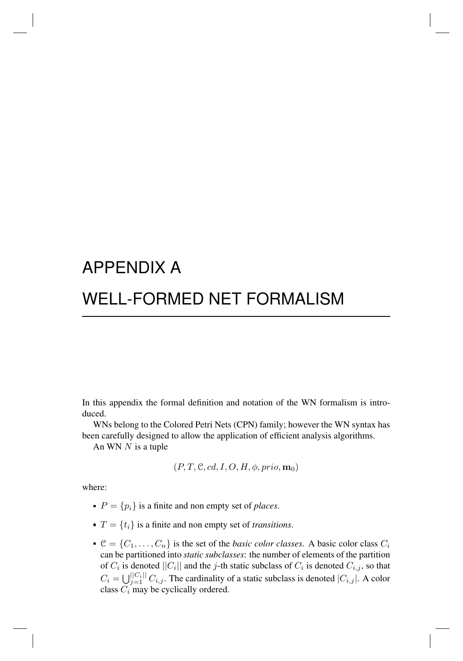# APPENDIX A WELL-FORMED NET FORMALISM

In this appendix the formal definition and notation of the WN formalism is introduced.

WNs belong to the Colored Petri Nets (CPN) family; however the WN syntax has been carefully designed to allow the application of efficient analysis algorithms.

An WN  $N$  is a tuple

$$
(P, T, \mathcal{C}, cd, I, O, H, \phi, prio, \mathbf{m}_0)
$$

where:

- $P = \{p_i\}$  is a finite and non empty set of *places*.
- $T = \{t_i\}$  is a finite and non empty set of *transitions*.
- $\mathcal{C} = \{C_1, \ldots, C_n\}$  is the set of the *basic color classes*. A basic color class  $C_i$ can be partitioned into *static subclasses*: the number of elements of the partition of  $C_i$  is denoted  $||C_i||$  and the j-th static subclass of  $C_i$  is denoted  $C_{i,j}$ , so that  $C_i = \bigcup_{j=1}^{|C_i||} C_{i,j}$ . The cardinality of a static subclass is denoted  $|C_{i,j}|$ . A color class  $C_i$  may be cyclically ordered.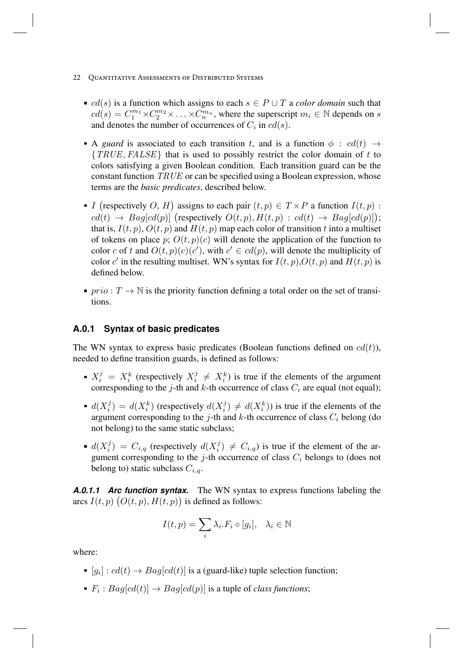- 22 QUANTITATIVE ASSESSMENTS OF DISTRIBUTED SYSTEMS
	- cd(s) is a function which assigns to each  $s \in P \cup T$  a *color domain* such that  $cd(s) = C_1^{m_1} \times C_2^{m_2} \times \ldots \times C_n^{m_n}$ , where the superscript  $m_i \in \mathbb{N}$  depends on s and denotes the number of occurrences of  $C_i$  in  $cd(s)$ .
	- A *guard* is associated to each transition t, and is a function  $\phi : cd(t) \rightarrow$  $\{TRUE, FALSE\}$  that is used to possibly restrict the color domain of t to colors satisfying a given Boolean condition. Each transition guard can be the constant function TRUE or can be specified using a Boolean expression, whose terms are the *basic predicates*, described below.
	- *I* (respectively *O*, *H*) assigns to each pair  $(t, p) \in T \times P$  a function  $I(t, p)$ :  $cd(t) \rightarrow Bag[cd(p)]$  (respectively  $O(t, p), H(t, p) : cd(t) \rightarrow Bag[cd(p)]);$ that is,  $I(t, p)$ ,  $O(t, p)$  and  $H(t, p)$  map each color of transition t into a multiset of tokens on place p;  $O(t, p)(c)$  will denote the application of the function to color c of t and  $O(t, p)(c)(c')$ , with  $c' \in cd(p)$ , will denote the multiplicity of color c' in the resulting multiset. WN's syntax for  $I(t, p)$ ,  $O(t, p)$  and  $H(t, p)$  is defined below.
	- prio :  $T \to \mathbb{N}$  is the priority function defining a total order on the set of transitions.

#### **A.0.1 Syntax of basic predicates**

The WN syntax to express basic predicates (Boolean functions defined on  $cd(t)$ ), needed to define transition guards, is defined as follows:

- $X_i^j = X_i^k$  (respectively  $X_i^j \neq X_i^k$ ) is true if the elements of the argument corresponding to the j-th and k-th occurrence of class  $C_i$  are equal (not equal);
- $d(X_i^j) = d(X_i^k)$  (respectively  $d(X_i^j) \neq d(X_i^k)$ ) is true if the elements of the argument corresponding to the j-th and  $k$ -th occurrence of class  $C_i$  belong (do not belong) to the same static subclass;
- $d(X_i^j) = C_{i,q}$  (respectively  $d(X_i^j) \neq C_{i,q}$ ) is true if the element of the argument corresponding to the j-th occurrence of class  $C_i$  belongs to (does not belong to) static subclass  $C_{i,q}$ .

*A.0.1.1 Arc function syntax.* The WN syntax to express functions labeling the arcs  $I(t, p)$   $(O(t, p), H(t, p))$  is defined as follows:

$$
I(t, p) = \sum_{i} \lambda_i . F_i \circ [g_i], \quad \lambda_i \in \mathbb{N}
$$

where:

- $\bullet$  [ $g_i$ ] :  $cd(t) \rightarrow Bag[cd(t)]$  is a (guard-like) tuple selection function;
- $F_i$  :  $Bag[cd(t)]$  →  $Bag[cd(p)]$  is a tuple of *class functions*;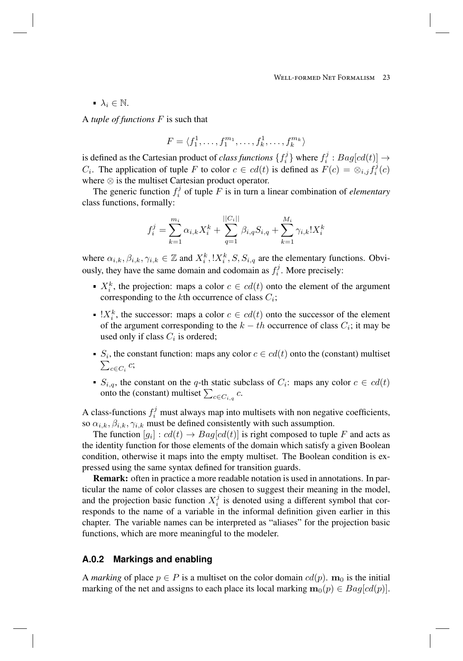#### WELL-FORMED NET FORMALISM 23

 $\lambda_i \in \mathbb{N}$ .

A *tuple of functions* F is such that

$$
F = \langle f_1^1, \dots, f_1^{m_1}, \dots, f_k^1, \dots, f_k^{m_k} \rangle
$$

is defined as the Cartesian product of *class functions*  $\{f_i^j\}$  where  $f_i^j : Bag[cd(t)] \rightarrow$ *C<sub>i</sub>*. The application of tuple F to color  $c \in cd(t)$  is defined as  $F(c) = \otimes_{i,j} f_i^j(c)$ where ⊗ is the multiset Cartesian product operator.

The generic function  $f_i^j$  of tuple F is in turn a linear combination of *elementary* class functions, formally:

$$
f_i^j = \sum_{k=1}^{m_i} \alpha_{i,k} X_i^k + \sum_{q=1}^{\vert C_i \vert} \beta_{i,q} S_{i,q} + \sum_{k=1}^{M_i} \gamma_{i,k}! X_i^k
$$

where  $\alpha_{i,k}, \beta_{i,k}, \gamma_{i,k} \in \mathbb{Z}$  and  $X_i^k, !X_i^k, S, S_{i,q}$  are the elementary functions. Obviously, they have the same domain and codomain as  $f_i^j$ . More precisely:

- $X_i^k$ , the projection: maps a color  $c \in cd(t)$  onto the element of the argument corresponding to the kth occurrence of class  $C_i$ ;
- $!X_i^k$ , the successor: maps a color  $c \in cd(t)$  onto the successor of the element of the argument corresponding to the  $k - th$  occurrence of class  $C_i$ ; it may be used only if class  $C_i$  is ordered;
- $S_i$ , the constant function: maps any color  $c \in cd(t)$  onto the (constant) multiset  $\sum_{c\in C_i} c;$
- Si,q, the constant on the q-th static subclass of  $C_i$ : maps any color  $c \in cd(t)$ onto the (constant) multiset  $\sum_{c \in C_{i,q}} c$ .

A class-functions  $f_i^j$  must always map into multisets with non negative coefficients, so  $\alpha_{i,k}, \beta_{i,k}, \gamma_{i,k}$  must be defined consistently with such assumption.

The function  $[g_i]$ :  $cd(t) \rightarrow Bag[cd(t)]$  is right composed to tuple F and acts as the identity function for those elements of the domain which satisfy a given Boolean condition, otherwise it maps into the empty multiset. The Boolean condition is expressed using the same syntax defined for transition guards.

Remark: often in practice a more readable notation is used in annotations. In particular the name of color classes are chosen to suggest their meaning in the model, and the projection basic function  $X_i^j$  is denoted using a different symbol that corresponds to the name of a variable in the informal definition given earlier in this chapter. The variable names can be interpreted as "aliases" for the projection basic functions, which are more meaningful to the modeler.

#### **A.0.2 Markings and enabling**

A *marking* of place  $p \in P$  is a multiset on the color domain  $cd(p)$ .  $m_0$  is the initial marking of the net and assigns to each place its local marking  $\mathbf{m}_0(p) \in Bag[cd(p)]$ .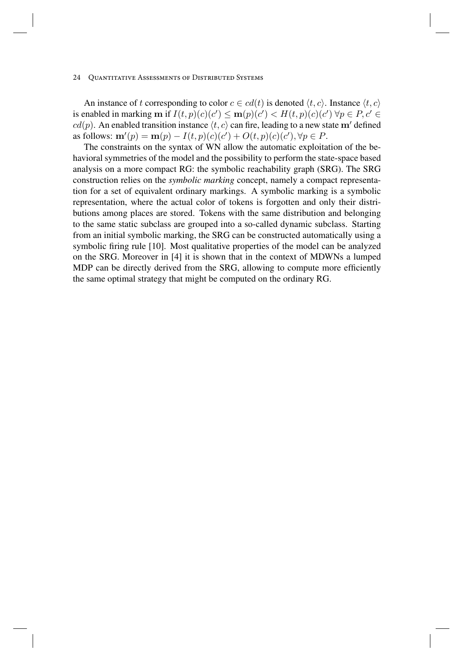An instance of t corresponding to color  $c \in cd(t)$  is denoted  $\langle t, c \rangle$ . Instance  $\langle t, c \rangle$ is enabled in marking **m** if  $I(t, p)(c)(c') \le \mathbf{m}(p)(c') < H(t, p)(c)(c') \,\forall p \in P, c' \in \mathbb{C}$  $cd(p)$ . An enabled transition instance  $\langle t, c \rangle$  can fire, leading to a new state **m**' defined as follows:  $\mathbf{m}'(p) = \mathbf{m}(p) - I(t, p)(c)(c') + O(t, p)(c)(c'), \forall p \in P.$ 

The constraints on the syntax of WN allow the automatic exploitation of the behavioral symmetries of the model and the possibility to perform the state-space based analysis on a more compact RG: the symbolic reachability graph (SRG). The SRG construction relies on the *symbolic marking* concept, namely a compact representation for a set of equivalent ordinary markings. A symbolic marking is a symbolic representation, where the actual color of tokens is forgotten and only their distributions among places are stored. Tokens with the same distribution and belonging to the same static subclass are grouped into a so-called dynamic subclass. Starting from an initial symbolic marking, the SRG can be constructed automatically using a symbolic firing rule [10]. Most qualitative properties of the model can be analyzed on the SRG. Moreover in [4] it is shown that in the context of MDWNs a lumped MDP can be directly derived from the SRG, allowing to compute more efficiently the same optimal strategy that might be computed on the ordinary RG.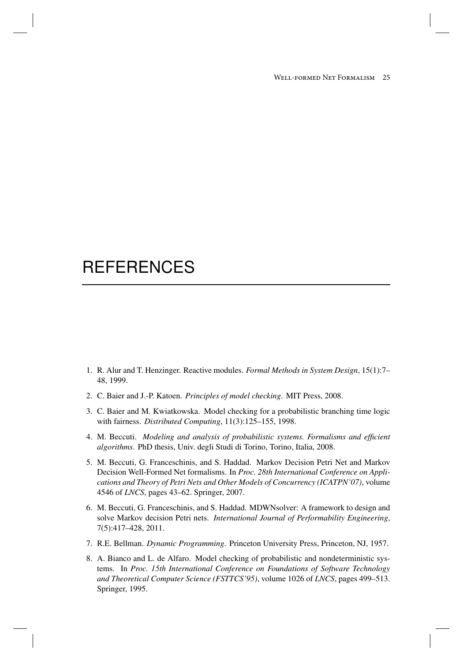WELL-FORMED NET FORMALISM 25

# **REFERENCES**

- 1. R. Alur and T. Henzinger. Reactive modules. *Formal Methods in System Design*, 15(1):7– 48, 1999.
- 2. C. Baier and J.-P. Katoen. *Principles of model checking*. MIT Press, 2008.
- 3. C. Baier and M. Kwiatkowska. Model checking for a probabilistic branching time logic with fairness. *Distributed Computing*, 11(3):125–155, 1998.
- 4. M. Beccuti. *Modeling and analysis of probabilistic systems. Formalisms and efficient algorithms*. PhD thesis, Univ. degli Studi di Torino, Torino, Italia, 2008.
- 5. M. Beccuti, G. Franceschinis, and S. Haddad. Markov Decision Petri Net and Markov Decision Well-Formed Net formalisms. In *Proc. 28th International Conference on Applications and Theory of Petri Nets and Other Models of Concurrency (ICATPN'07)*, volume 4546 of *LNCS*, pages 43–62. Springer, 2007.
- 6. M. Beccuti, G. Franceschinis, and S. Haddad. MDWNsolver: A framework to design and solve Markov decision Petri nets. *International Journal of Performability Engineering*, 7(5):417–428, 2011.
- 7. R.E. Bellman. *Dynamic Programming*. Princeton University Press, Princeton, NJ, 1957.
- 8. A. Bianco and L. de Alfaro. Model checking of probabilistic and nondeterministic systems. In *Proc. 15th International Conference on Foundations of Software Technology and Theoretical Computer Science (FSTTCS'95)*, volume 1026 of *LNCS*, pages 499–513. Springer, 1995.